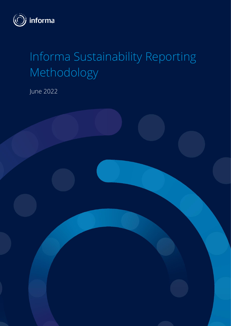

# Informa Sustainability Reporting Methodology

June 2022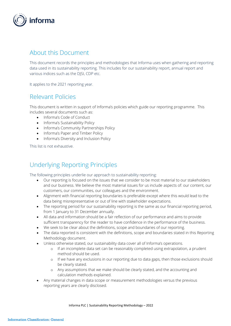

# About this Document

This document records the principles and methodologies that Informa uses when gathering and reporting data used in its sustainability reporting. This includes for our sustainability report, annual report and various indices such as the DJSI, CDP etc.

It applies to the 2021 reporting year.

# Relevant Policies

This document is written in support of Informa's policies which guide our reporting programme. This includes several documents such as:

- Informa's Code of Conduct
- Informa's Sustainability Policy
- Informa's Community Partnerships Policy
- Informa's Paper and Timber Policy
- Informa's Diversity and Inclusion Policy

This list is not exhaustive.

# Underlying Reporting Principles

The following principles underlie our approach to sustainability reporting:

- Our reporting is focused on the issues that we consider to be most material to our stakeholders and our business. We believe the most material issues for us include aspects of: our content, our customers, our communities, our colleagues and the environment.
- Alignment with financial reporting boundaries is preferable except where this would lead to the data being misrepresentative or out of line with stakeholder expectations.
- The reporting period for our sustainability reporting is the same as our financial reporting period, from 1 January to 31 December annually.
- All data and information should be a fair reflection of our performance and aims to provide sufficient transparency for the reader to have confidence in the performance of the business.
- We seek to be clear about the definitions, scope and boundaries of our reporting.
- The data reported is consistent with the definitions, scope and boundaries stated in this Reporting Methodology document.
- Unless otherwise stated, our sustainability data cover all of Informa's operations.
	- o If an incomplete data set can be reasonably completed using extrapolation, a prudent method should be used.
	- o If we have any exclusions in our reporting due to data gaps, then those exclusions should be clearly stated.
	- o Any assumptions that we make should be clearly stated, and the accounting and calculation methods explained.
- Any material changes in data scope or measurement methodologies versus the previous reporting years are clearly disclosed.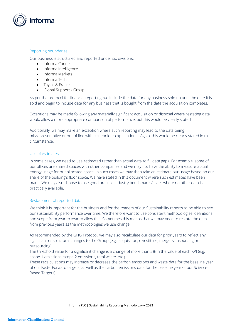

# Reporting boundaries

Our business is structured and reported under six divisions:

- Informa Connect
- Informa Intelligence
- Informa Markets
- Informa Tech
- Taylor & Francis
- Global Support / Group

As per the protocol for financial reporting, we include the data for any business sold up until the date it is sold and begin to include data for any business that is bought from the date the acquisition completes.

Exceptions may be made following any materially significant acquisition or disposal where restating data would allow a more appropriate comparison of performance, but this would be clearly stated.

Additionally, we may make an exception where such reporting may lead to the data being misrepresentative or out of line with stakeholder expectations. Again, this would be clearly stated in this circumstance.

# Use of estimates

In some cases, we need to use estimated rather than actual data to fill data gaps. For example, some of our offices are shared spaces with other companies and we may not have the ability to measure actual energy usage for our allocated space; in such cases we may then take an estimate our usage based on our share of the building's floor space. We have stated in this document where such estimates have been made. We may also choose to use good practice industry benchmarks/levels where no other data is practically available.

# Restatement of reported data

We think it is important for the business and for the readers of our Sustainability reports to be able to see our sustainability performance over time. We therefore want to use consistent methodologies, definitions, and scope from year to year to allow this. Sometimes this means that we may need to restate the data from previous years as the methodologies we use change.

As recommended by the GHG Protocol, we may also recalculate our data for prior years to reflect any significant or structural changes to the Group (e.g., acquisition, divestiture, mergers, insourcing or outsourcing).

The threshold value for a significant change is a change of more than 5% in the value of each KPI (e.g. scope 1 emissions, scope 2 emissions, total waste, etc.).

These recalculations may increase or decrease the carbon emissions and waste data for the baseline year of our FasterForward targets, as well as the carbon emissions data for the baseline year of our Science-Based Targets).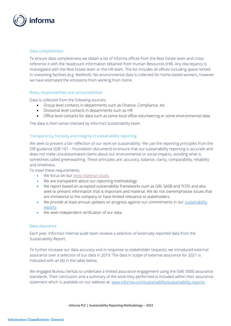

# Data completeness:

To ensure data completeness we obtain a list of Informa offices from the Real Estate team and crossreference it with the headcount information obtained from Human Resources (HR). Any discrepancy is investigated with the Real Estate team or the HR team. The list includes all offices including space rented in coworking facilities (e.g. WeWork). No environmental data is collected for home-based workers, however we have estimated the emissions from working from home.

# Roles, responsibilities and accountabilities

Data is collected from the following sources:

- Group level contacts in departments such as Finance, Compliance, etc
- Divisional level contacts in departments such as HR
- Office level contacts for data such as some local office volunteering or some environmental data

The data is then sense checked by Informa's Sustainability team.

# Transparency, honesty and integrity in sustainability reporting

We seek to present a fair reflection of our work on sustainability. We use the reporting principles from the GRI guidance (GRI 101 – Foundation document) to ensure that our sustainability reporting is accurate and does not make unsubstantiated claims about our environmental or social impacts, avoiding what is sometimes called greenwashing. These principles are: accuracy, balance, clarity, comparability, reliability and timeliness.

To meet these requirements,

- We focus on our [most material issues](https://www.informa.com/globalassets/documents/sustainability/governing-sustainability-at-informa.pdf)
- We are transparent about our reporting methodology
- We report based on accepted sustainability frameworks such as GRI, SASB and TCFD and also seek to present information that is important and material. We do not overemphasise issues that are immaterial to the company or have limited relevance to stakeholders
- We provide at least annual updates on progress against our commitments in our sustainability [reports](https://www.informa.com/sustainability/sustainability-reports/)
- We seek independent verification of our data

#### Data assurance

Each year, Informa's internal audit team reviews a selection of externally reported data from the Sustainability Report.

To further increase our data accuracy and in response to stakeholder requests, we introduced external assurance over a selection of our data in 2019. The data in scope of external assurance for 2021 is indicated with an (A) in the table below.

We engaged Bureau Veritas to undertake a limited assurance engagement using the ISAE 3000 assurance standards. Their conclusion and a summary of the work they performed is included within their assurance statement which is available on our website at: [www.informa.com/sustainability/sustainability-reports.](http://www.informa.com/sustainability/sustainability-reports)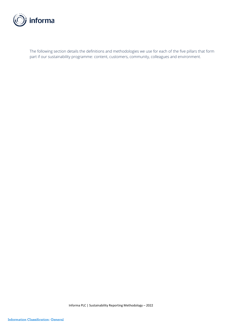

The following section details the definitions and methodologies we use for each of the five pillars that form part if our sustainability programme: content, customers, community, colleagues and environment.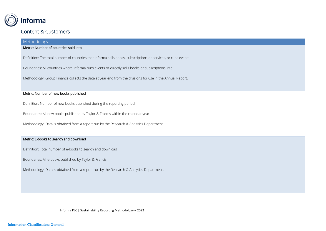

# Content & Customers

# Methodology

# Metric: Number of countries sold into

Definition: The total number of countries that Informa sells books, subscriptions or services, or runs events

Boundaries: All countries where Informa runs events or directly sells books or subscriptions into

Methodology: Group Finance collects the data at year end from the divisions for use in the Annual Report.

# Metric: Number of new books published

Definition: Number of new books published during the reporting period

Boundaries: All new books published by Taylor & Francis within the calendar year

Methodology: Data is obtained from a report run by the Research & Analytics Department.

# Metric: E-books to search and download

Definition: Total number of e-books to search and download

Boundaries: All e-books published by Taylor & Francis

Methodology: Data is obtained from a report run by the Research & Analytics Department.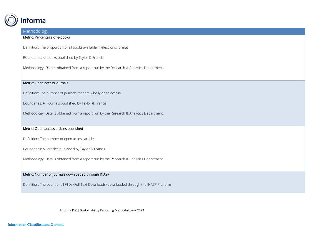

# Metric: Percentage of e-books

Definition: The proportion of all books available in electronic format

Boundaries: All books published by Taylor & Francis

Methodology: Data is obtained from a report run by the Research & Analytics Department.

# Metric: Open access journals

Definition: The number of journals that are wholly open access

Boundaries: All journals published by Taylor & Francis

Methodology: Data is obtained from a report run by the Research & Analytics Department.

# Metric: Open access articles published

Definition: The number of open access articles

Boundaries: All articles published by Taylor & Francis

Methodology: Data is obtained from a report run by the Research & Analytics Department.

# Metric: Number of journals downloaded through INASP

Definition: The count of all FTDs (Full Text Downloads) downloaded through the INASP Platform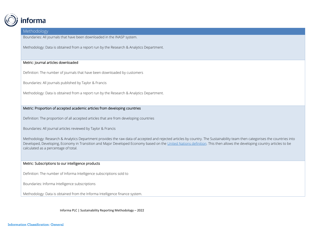

Boundaries: All journals that have been downloaded in the INASP system.

Methodology: Data is obtained from a report run by the Research & Analytics Department.

#### Metric: Journal articles downloaded

Definition: The number of journals that have been downloaded by customers

Boundaries: All journals published by Taylor & Francis

Methodology: Data is obtained from a report run by the Research & Analytics Department.

# Metric: Proportion of accepted academic articles from developing countries

Definition: The proportion of all accepted articles that are from developing countries

Boundaries: All journal articles reviewed by Taylor & Francis

Methodology: Research & Analytics Department provides the raw data of accepted and rejected articles by country. The Sustainability team then categorises the countries into Developed, Developing, Economy in Transition and Major Developed Economy based on the [United Nations definition.](https://www.un.org/development/desa/dpad/wp-content/uploads/sites/45/WESP2019_BOOK-web.pdf) This then allows the developing country articles to be calculated as a percentage of total.

#### Metric: Subscriptions to our intelligence products

Definition: The number of Informa Intelligence subscriptions sold to

Boundaries: Informa Intelligence subscriptions

Methodology: Data is obtained from the Informa Intelligence finance system.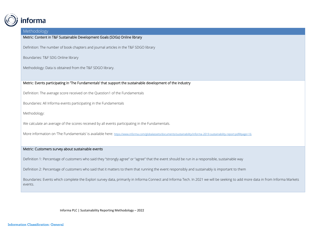

Metric: Content in T&F Sustainable Development Goals (SDGs) Online library

Definition: The number of book chapters and journal articles in the T&F SDGO library

Boundaries: T&F SDG Online library

Methodology: Data is obtained from the T&F SDGO library.

Metric: Events participating in 'The Fundamentals' that support the sustainable development of the industry

Definition: The average score received on the Question1 of the Fundamentals

Boundaries: All Informa events participating in the Fundamentals

Methodology:

We calculate an average of the scores received by all events participating in the Fundamentals.

More information on 'The Fundamentals' is available here: <https://www.informa.com/globalassets/documents/sustainability/informa-2019-sustainability-report.pdf#page=16>

#### Metric: Customers survey about sustainable events

Definition 1: Percentage of customers who said they "strongly agree" or "agree" that the event should be run in a responsible, sustainable way

Definition 2: Percentage of customers who said that it matters to them that running the event responsibly and sustainably is important to them

Boundaries: Events which complete the Explori survey data, primarily in Informa Connect and Informa Tech. In 2021 we will be seeking to add more data in from Informa Markets events.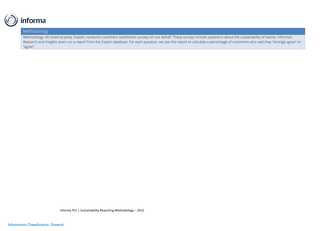

Methodology: An external party, Explori, conducts customers satisfaction surveys on our behalf. These surveys include questions about the sustainability of events. Informa's Research and Insights team run a report from the Explori database. For each question, we use this report to calculate a percentage of customers who said they "strongly agree" or "agree".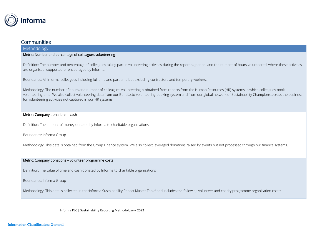

# Communities

# Methodology

# Metric: Number and percentage of colleagues volunteering

Definition: The number and percentage of colleagues taking part in volunteering activities during the reporting period, and the number of hours volunteered, where these activities are organised, supported or encouraged by Informa.

Boundaries: All Informa colleagues including full time and part time but excluding contractors and temporary workers.

Methodology: The number of hours and number of colleagues volunteering is obtained from reports from the Human Resources (HR) systems in which colleagues book volunteering time. We also collect volunteering data from our Benefacto volunteering booking system and from our global network of Sustainability Champions across the business for volunteering activities not captured in our HR systems.

## Metric: Company donations – cash

Definition: The amount of money donated by Informa to charitable organisations

Boundaries: Informa Group

Methodology: This data is obtained from the Group Finance system. We also collect leveraged donations raised by events but not processed through our finance systems.

#### Metric: Company donations – volunteer programme costs

Definition: The value of time and cash donated by Informa to charitable organisations

Boundaries: Informa Group

Methodology: This data is collected in the 'Informa Sustainability Report Master Table' and includes the following volunteer and charity programme organisation costs: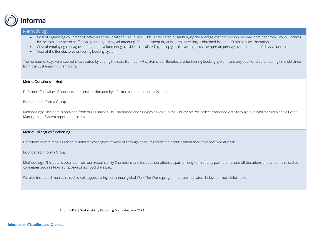

- Cost of organising volunteering activities at the local and Group level. This is calculated by multiplying the average cost per person per day (obtained from Group Finance) by the total number of staff days spent organising volunteering. The time spent organising volunteering is obtained from the Sustainability Champions.
- Cost of employing colleagues during their volunteering activities– calculated by multiplying the average cost per person per day by the number of days volunteered.
- Cost of the Benefacto volunteering booking system.

The number of days volunteered is calculated by adding the data from our HR systems, our Benefacto volunteering booking system, and any additional volunteering time obtained from the Sustainability champions.

#### Metric: Donations in kind

Definition: The value of products and services donated by Informa to charitable organisations

Boundaries: Informa Group

Methodology: This data is obtained from our Sustainability Champions and SurveyMonkey surveys. For events, we collect donations data through our Informa Sustainable Event Management System reporting process.

#### Metric: Colleagues fundraising

Definition: Private monies raised by Informa colleagues at work or through encouragement or incentivisation they have received at work

#### Boundaries: Informa Group

Methodology: This data is obtained from our Sustainability Champions and includes donations as part of long-term charity partnership, one off donations and amounts raised by colleagues such as team runs, bake sales, food drives, etc.

We also include all monies raised by colleagues during our annual global Walk The World programme (see indicators below for more information).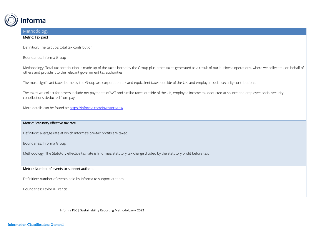

# Methodology Metric: Tax paid Definition: The Group's total tax contribution Boundaries: Informa Group Methodology: Total tax contribution is made up of the taxes borne by the Group plus other taxes generated as a result of our business operations, where we collect tax on behalf of others and provide it to the relevant government tax authorities. The most significant taxes borne by the Group are corporation tax and equivalent taxes outside of the UK, and employer social security contributions. The taxes we collect for others include net payments of VAT and similar taxes outside of the UK, employee income tax deducted at source and employee social security contributions deducted from pay. More details can be found at:<https://informa.com/investors/tax/> Metric: Statutory effective tax rate Definition: average rate at which Informa's pre-tax profits are taxed

Boundaries: Informa Group

Methodology: The Statutory effective tax rate is Informa's statutory tax charge divided by the statutory profit before tax.

# Metric: Number of events to support authors

Definition: number of events held by Informa to support authors.

Boundaries: Taylor & Francis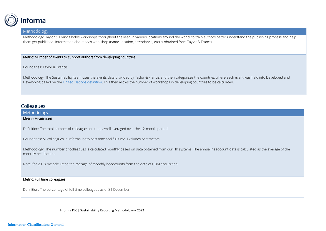

Methodology: Taylor & Francis holds workshops throughout the year, in various locations around the world, to train authors better understand the publishing process and help them get published. Information about each workshop (name, location, attendance, etc) is obtained from Taylor & Francis.

# Metric: Number of events to support authors from developing countries

Boundaries: Taylor & Francis

Methodology: The Sustainability team uses the events data provided by Taylor & Francis and then categorises the countries where each event was held into Developed and Developing based on th[e United Nations definition.](https://www.un.org/development/desa/dpad/wp-content/uploads/sites/45/WESP2019_BOOK-web.pdf) This then allows the number of workshops in developing countries to be calculated.

# **Colleagues**

# Methodology Metric: Headcount

Definition: The total number of colleagues on the payroll averaged over the 12-month period.

Boundaries: All colleagues in Informa, both part time and full time. Excludes contractors.

Methodology: The number of colleagues is calculated monthly based on data obtained from our HR systems. The annual headcount data is calculated as the average of the monthly headcounts.

Note: for 2018, we calculated the average of monthly headcounts from the date of UBM acquisition.

#### Metric: Full time colleagues

Definition: The percentage of full time colleagues as of 31 December.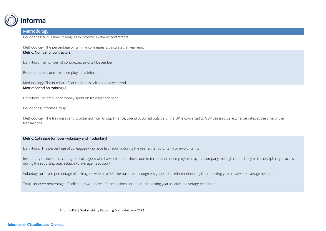

Boundaries: All full time colleagues in Informa. Excludes contractors.

Methodology: The percentage of full time colleagues is calculated at year end.

# Metric: Number of contractors

Definition: The number of contractors as of 31 December.

Boundaries: All contractors employed by Informa.

Methodology: The number of contractors is calculated at year end.

# Metric: Spend on training (A)

Definition: The amount of money spent on training each year

Boundaries: Informa Group

Methodology: The training spend is obtained from Group Finance. Spend occurred outside of the UK is converted to GBP using actual exchange rates at the time of the transactions.

# Metric: Colleague turnover (voluntary and involuntary)

Definitions: The percentage of colleagues who have left Informa during the year either voluntarily or involuntarily.

Involuntary turnover: percentage of colleagues who have left the business due to termination of employment by the company through redundancy or the disciplinary process during the reporting year, relative to average headcount.

Voluntary turnover: percentage of colleagues who have left the business through resignation or retirement during the reporting year, relative to average headcount.

Total turnover: percentage of colleagues who have left the business during the reporting year, relative to average headcount.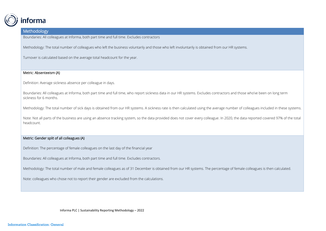

Boundaries: All colleagues at Informa, both part time and full time. Excludes contractors

Methodology: The total number of colleagues who left the business voluntarily and those who left involuntarily is obtained from our HR systems.

Turnover is calculated based on the average total headcount for the year.

#### Metric: Absenteeism (A)

Definition: Average sickness absence per colleague in days.

Boundaries: All colleagues at Informa, both part time and full time, who report sickness data in our HR systems. Excludes contractors and those who've been on long term sickness for 6 months.

Methodology: The total number of sick days is obtained from our HR systems. A sickness rate is then calculated using the average number of colleagues included in these systems.

Note: Not all parts of the business are using an absence tracking system, so the data provided does not cover every colleague. In 2020, the data reported covered 97% of the total headcount.

# Metric: Gender split of all colleagues (A)

Definition: The percentage of female colleagues on the last day of the financial year

Boundaries: All colleagues at Informa, both part time and full time. Excludes contractors.

Methodology: The total number of male and female colleagues as of 31 December is obtained from our HR systems. The percentage of female colleagues is then calculated.

Note: colleagues who chose not to report their gender are excluded from the calculations.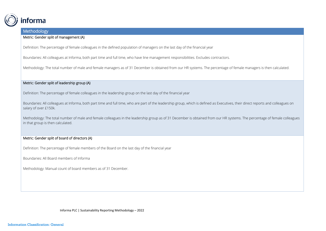

# Metric: Gender split of management (A)

Definition: The percentage of female colleagues in the defined population of managers on the last day of the financial year

Boundaries: All colleagues at Informa, both part time and full time, who have line management responsibilities. Excludes contractors.

Methodology: The total number of male and female managers as of 31 December is obtained from our HR systems. The percentage of female managers is then calculated.

# Metric: Gender split of leadership group (A)

Definition: The percentage of female colleagues in the leadership group on the last day of the financial year

Boundaries: All colleagues at Informa, both part time and full time, who are part of the leadership group, which is defined as Executives, their direct reports and colleagues on salary of over £150k.

Methodology: The total number of male and female colleagues in the leadership group as of 31 December is obtained from our HR systems. The percentage of female colleagues in that group is then calculated.

# Metric: Gender split of board of directors (A)

Definition: The percentage of female members of the Board on the last day of the financial year

Boundaries: All Board members of Informa

Methodology: Manual count of board members as of 31 December.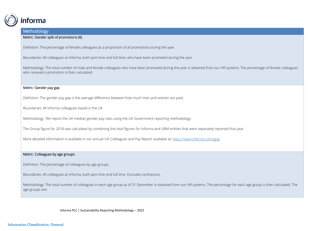

#### Metric: Gender split of promotions (A)

Definition: The percentage of female colleagues as a proportion of all promotions during the year

Boundaries: All colleagues at Informa, both part time and full time, who have been promoted during the year

Methodology: The total number of male and female colleagues who have been promoted during the year is obtained from our HR systems. The percentage of female colleagues who received a promotion is then calculated.

## Metric: Gender pay gap

Definition: The gender pay gap is the average difference between how much men and women are paid.

Boundaries: All Informa colleagues based in the UK

Methodology: We report the UK median gender pay ratio using the UK Government reporting methodology.

The Group figure for 2018 was calculated by combining the total figures for Informa and UBM entities that were separately reported that year.

More detailed information is available in our annual 'UK Colleagues and Pay Report' available at: <https://www.informa.com/gpg/>

#### Metric: Colleagues by age groups

Definition: The percentage of colleagues by age groups

Boundaries: All colleagues at Informa, both part time and full time. Excludes contractors.

Methodology: The total number of colleagues in each age group as of 31 December is obtained from our HR systems. The percentage for each age group is then calculated. The age groups are: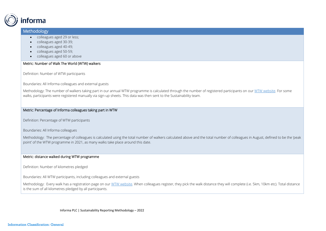

- colleagues aged 29 or less;
- colleagues aged 30-39;
- colleagues aged 40-49;
- colleagues aged 50-59;
- colleagues aged 60 or above

# Metric: Number of Walk The World (WTW) walkers

Definition: Number of WTW participants

Boundaries: All Informa colleagues and external guests

Methodology: The number of walkers taking part in our annual WTW programme is calculated through the number of registered participants on our WTW website. For some walks, participants were registered manually via sign-up sheets. This data was then sent to the Sustainability team.

# Metric: Percentage of Informa colleagues taking part in WTW

Definition: Percentage of WTW participants

Boundaries: All Informa colleagues

Methodology: The percentage of colleagues is calculated using the total number of walkers calculated above and the total number of colleagues in August, defined to be the 'peak point' of the WTW programme in 2021, as many walks take place around this date.

# Metric: distance walked during WTW programme

Definition: Number of kilometres pledged

Boundaries: All WTW participants, including colleagues and external guests

Methodology: Every walk has a registration page on our WTW website. When colleagues register, they pick the walk distance they will complete (i.e. 5km, 10km etc). Total distance is the sum of all kilometres pledged by all participants.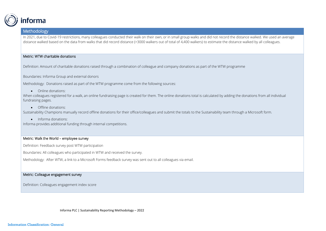

In 2021, due to Covid-19 restrictions, many colleagues conducted their walk on their own, or in small group walks and did not record the distance walked. We used an average distance walked based on the data from walks that did record distance (>3000 walkers out of total of 4,400 walkers) to estimate the distance walked by all colleagues.

# Metric: WTW charitable donations

Definition: Amount of charitable donations raised through a combination of colleague and company donations as part of the WTW programme

Boundaries: Informa Group and external donors

Methodology: Donations raised as part of the WTW programme come from the following sources:

• Online donations:

When colleagues registered for a walk, an online fundraising page is created for them. The online donations total is calculated by adding the donations from all individual fundraising pages.

• Offline donations:

Sustainability Champions manually record offline donations for their office/colleagues and submit the totals to the Sustainability team through a Microsoft form.

• Informa donations:

Informa provides additional funding through internal competitions.

# Metric: Walk the World – employee survey

Definition: Feedback survey post WTW participation

Boundaries: All colleagues who participated in WTW and received the survey.

Methodology: After WTW, a link to a Microsoft Forms feedback survey was sent out to all colleagues via email.

#### Metric: Colleague engagement survey

Definition: Colleagues engagement index score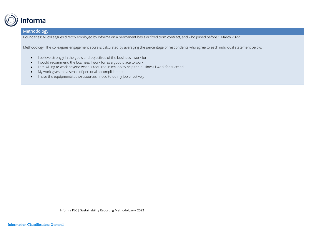

Boundaries: All colleagues directly employed by Informa on a permanent basis or fixed term contract, and who joined before 1 March 2022.

Methodology: The colleagues engagement score is calculated by averaging the percentage of respondents who agree to each individual statement below:

- I believe strongly in the goals and objectives of the business I work for
- I would recommend the business I work for as a good place to work
- I am willing to work beyond what is required in my job to help the business I work for succeed
- My work gives me a sense of personal accomplishment
- I have the equipment/tools/resources I need to do my job effectively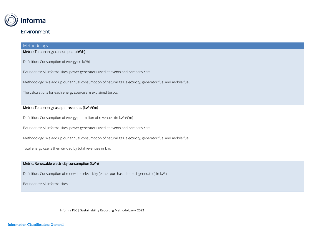

# Metric: Total energy consumption (kWh)

Definition: Consumption of energy (in kWh)

Boundaries: All Informa sites, power generators used at events and company cars

Methodology: We add up our annual consumption of natural gas, electricity, generator fuel and mobile fuel.

The calculations for each energy source are explained below.

# Metric: Total energy use per revenues (kWh/£m)

Definition: Consumption of energy per million of revenues (in kWh/£m)

Boundaries: All Informa sites, power generators used at events and company cars

Methodology: We add up our annual consumption of natural gas, electricity, generator fuel and mobile fuel.

Total energy use is then divided by total revenues in £m.

#### Metric: Renewable electricity consumption (kWh)

Definition: Consumption of renewable electricity (either purchased or self-generated) in kWh

Boundaries: All Informa sites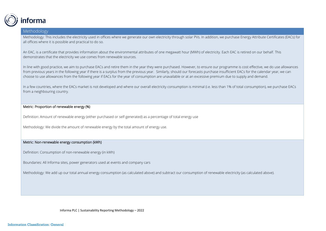

Methodology: This includes the electricity used in offices where we generate our own electricity through solar PVs. In addition, we purchase Energy Attribute Certificates (EACs) for all offices where it is possible and practical to do so.

An EAC, is a certificate that provides information about the environmental attributes of one megawatt hour (MWh) of electricity. Each EAC is retired on our behalf. This demonstrates that the electricity we use comes from renewable sources.

In line with good practice, we aim to purchase EACs and retire them in the year they were purchased. However, to ensure our programme is cost effective, we do use allowances from previous years in the following year if there is a surplus from the previous year. Similarly, should our forecasts purchase insufficient EACs for the calendar year, we can choose to use allowances from the following year if EACs for the year of consumption are unavailable or at an excessive premium due to supply and demand.

In a few countries, where the EACs market is not developed and where our overall electricity consumption is minimal (i.e. less than 1% of total consumption), we purchase EACs from a neighbouring country.

# Metric: Proportion of renewable energy (%)

Definition: Amount of renewable energy (either purchased or self-generated) as a percentage of total energy use

Methodology: We divide the amount of renewable energy by the total amount of energy use.

#### Metric: Non-renewable energy consumption (kWh)

Definition: Consumption of non-renewable energy (in kWh)

Boundaries: All Informa sites, power generators used at events and company cars

Methodology: We add up our total annual energy consumption (as calculated above) and subtract our consumption of renewable electricity (as calculated above).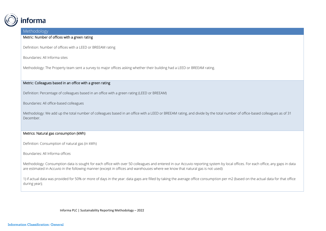

# Metric: Number of offices with a green rating

Definition: Number of offices with a LEED or BREEAM rating

Boundaries: All Informa sites

Methodology: The Property team sent a survey to major offices asking whether their building had a LEED or BREEAM rating.

# Metric: Colleagues based in an office with a green rating

Definition: Percentage of colleagues based in an office with a green rating (LEED or BREEAM)

Boundaries: All office-based colleagues

Methodology: We add up the total number of colleagues based in an office with a LEED or BREEAM rating, and divide by the total number of office-based colleagues as of 31 December.

# Metrics: Natural gas consumption (kWh)

Definition: Consumption of natural gas (in kWh)

Boundaries: All Informa offices

Methodology: Consumption data is sought for each office with over 50 colleagues and entered in our Accuvio reporting system by local offices. For each office, any gaps in data are estimated in Accuvio in the following manner (except in offices and warehouses where we know that natural gas is not used):

1) if actual data was provided for 50% or more of days in the year: data gaps are filled by taking the average office consumption per m2 (based on the actual data for that office during year);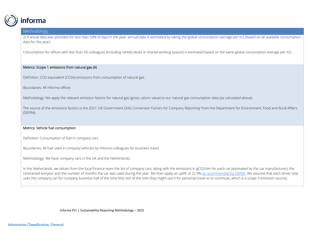

2) if actual data was provided for less than 50% of days in the year: annual data is estimated by taking the global consumption average per m2 (based on all available consumption data for the year).

Consumption for offices with less than 50 colleagues (including rented desks in shared working spaces) is estimated based on the same global consumption average per m2.

# Metrics: Scope 1 emissions from natural gas (A)

Definition: CO2-equivalent (CO2e) emissions from consumption of natural gas.

Boundaries: All Informa offices

Methodology: We apply the relevant emission factors for natural gas (gross caloric value) to our natural gas consumption data (as calculated above).

The source of the emissions factors is the 2021 'UK Government GHG Conversion Factors for Company Reporting' from the Department for Environment, Food and Rural Affairs (DEFRA).

#### Metrics: Vehicle fuel consumption

Definition: Consumption of fuel in company cars

Boundaries: All fuel used in company vehicles by Informa colleagues for business travel.

Methodology: We have company cars in the UK and the Netherlands.

In the Netherlands, we obtain from the local Finance team the list of company cars, along with the emissions in gCO2/km for each car (estimated by the car manufacturer), the contracted km/year and the number of months the car was used during the year. We then apply an uplift of 22.9% [as recommended by DEFRA.](https://assets.publishing.service.gov.uk/government/uploads/system/uploads/attachment_data/file/829336/2019_Green-house-gas-reporting-methodology.pdf) We assume that each driver only uses the company car for company business half of the time (the rest of the time they might use it for personal travel or to commute, which is a scope 3 emission source).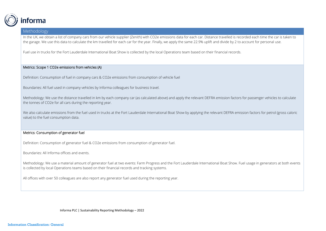

In the UK, we obtain a list of company cars from our vehicle supplier (Zenith) with CO2e emissions data for each car. Distance travelled is recorded each time the car is taken to the garage. We use this data to calculate the km travelled for each car for the year. Finally, we apply the same 22.9% uplift and divide by 2 to account for personal use.

Fuel use in trucks for the Fort Lauderdale International Boat Show is collected by the local Operations team based on their financial records.

# Metrics: Scope 1 CO2e emissions from vehicles (A)

Definition: Consumption of fuel in company cars & CO2e emissions from consumption of vehicle fuel

Boundaries: All fuel used in company vehicles by Informa colleagues for business travel.

Methodology: We use the distance travelled in km by each company car (as calculated above) and apply the relevant DEFRA emission factors for passenger vehicles to calculate the tonnes of CO2e for all cars during the reporting year.

We also calculate emissions from the fuel used in trucks at the Fort Lauderdale International Boat Show by applying the relevant DEFRA emission factors for petrol (gross caloric value) to the fuel consumption data.

# Metrics: Consumption of generator fuel

Definition: Consumption of generator fuel & CO2e emissions from consumption of generator fuel.

Boundaries: All Informa offices and events.

Methodology: We use a material amount of generator fuel at two events: Farm Progress and the Fort Lauderdale International Boat Show. Fuel usage in generators at both events is collected by local Operations teams based on their financial records and tracking systems.

All offices with over 50 colleagues are also report any generator fuel used during the reporting year.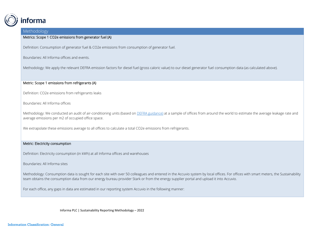

# Metrics: Scope 1 CO2e emissions from generator fuel (A)

Definition: Consumption of generator fuel & CO2e emissions from consumption of generator fuel.

Boundaries: All Informa offices and events.

Methodology: We apply the relevant DEFRA emission factors for diesel fuel (gross caloric value) to our diesel generator fuel consumption data (as calculated above).

# Metric: Scope 1 emissions from refrigerants (A)

Definition: CO2e emissions from refrigerants leaks

Boundaries: All Informa offices

Methodology: We conducted an audit of air-conditioning units (based o[n DEFRA guidance\)](https://www.gov.uk/guidance/calculate-the-carbon-dioxide-equivalent-quantity-of-an-f-gas) at a sample of offices from around the world to estimate the average leakage rate and average emissions per m2 of occupied office space.

We extrapolate these emissions average to all offices to calculate a total CO2e emissions from refrigerants.

#### Metric: Electricity consumption

Definition: Electricity consumption (in kWh) at all Informa offices and warehouses

Boundaries: All Informa sites

Methodology: Consumption data is sought for each site with over 50 colleagues and entered in the Accuvio system by local offices. For offices with smart meters, the Sustainability team obtains the consumption data from our energy bureau provider Stark or from the energy supplier portal and upload it into Accuvio.

For each office, any gaps in data are estimated in our reporting system Accuvio in the following manner: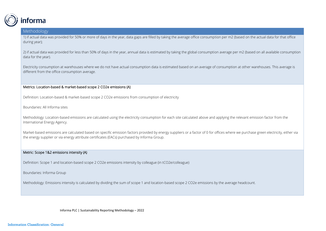

1) if actual data was provided for 50% or more of days in the year, data gaps are filled by taking the average office consumption per m2 (based on the actual data for that office during year);

2) if actual data was provided for less than 50% of days in the year, annual data is estimated by taking the global consumption average per m2 (based on all available consumption data for the year).

Electricity consumption at warehouses where we do not have actual consumption data is estimated based on an average of consumption at other warehouses. This average is different from the office consumption average.

#### Metrics: Location-based & market-based scope 2 CO2e emissions (A)

Definition: Location-based & market-based scope 2 CO2e emissions from consumption of electricity

Boundaries: All Informa sites

Methodology: Location-based emissions are calculated using the electricity consumption for each site calculated above and applying the relevant emission factor from the International Energy Agency.

Market-based emissions are calculated based on specific emission factors provided by energy suppliers or a factor of 0 for offices where we purchase green electricity, either via the energy supplier or via energy attribute certificates (EACs) purchased by Informa Group.

# Metric: Scope 1&2 emissions intensity (A)

Definition: Scope 1 and location-based scope 2 CO2e emissions intensity by colleague (in tCO2e/colleague)

Boundaries: Informa Group

Methodology: Emissions intensity is calculated by dividing the sum of scope 1 and location-based scope 2 CO2e emissions by the average headcount.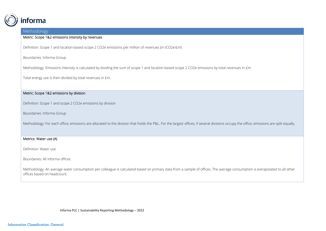

#### Metric: Scope 1&2 emissions intensity by revenues

Definition: Scope 1 and location-based scope 2 CO2e emissions per million of revenues (in tCO2e/£m)

Boundaries: Informa Group

Methodology: Emissions intensity is calculated by dividing the sum of scope 1 and location-based scope 2 CO2e emissions by total revenues in £m.

Total energy use is then divided by total revenues in £m.

# Metric: Scope 1&2 emissions by division

Definition: Scope 1 and scope 2 CO2e emissions by division

Boundaries: Informa Group

Methodology: For each office, emissions are allocated to the division that holds the P&L. For the largest offices, if several divisions occupy the office, emissions are split equally.

# Metrics: Water use (A)

Definition: Water use

Boundaries: All Informa offices

Methodology: An average water consumption per colleague is calculated based on primary data from a sample of offices. The average consumption is extrapolated to all other offices based on headcount.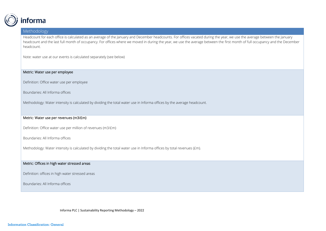

Headcount for each office is calculated as an average of the January and December headcounts. For offices vacated during the year, we use the average between the January headcount and the last full month of occupancy. For offices where we moved in during the year, we use the average between the first month of full occupancy and the December headcount.

Note: water use at our events is calculated separately (see below)

# Metric: Water use per employee

Definition: Office water use per employee

Boundaries: All Informa offices

Methodology: Water intensity is calculated by dividing the total water use in Informa offices by the average headcount.

#### Metric: Water use per revenues (m3/£m)

Definition: Office water use per million of revenues (m3/£m)

Boundaries: All Informa offices

Methodology: Water intensity is calculated by dividing the total water use in Informa offices by total revenues (£m).

#### Metric: Offices in high water stressed areas

Definition: offices in high water stressed areas

Boundaries: All Informa offices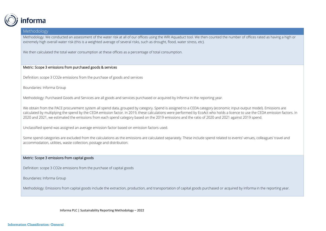

Methodology: We conducted an assessment of the water risk at all of our offices using the WRI Aquaduct tool. We then counted the number of offices rated as having a high or extremely high overall water risk (this is a weighted average of several risks, such as drought, flood, water stress, etc).

We then calculated the total water consumption at these offices as a percentage of total consumption.

# Metric: Scope 3 emissions from purchased goods & services

Definition: scope 3 CO2e emissions from the purchase of goods and services

Boundaries: Informa Group

Methodology: Purchased Goods and Services are all goods and services purchased or acquired by Informa in the reporting year.

We obtain from the PACE procurement system all spend data, grouped by category. Spend is assigned to a CEDA category (economic input-output model). Emissions are calculated by multiplying the spend by the CEDA emission factor. In 2019, these calculations were performed by EcoAct who holds a licence to use the CEDA emission factors. In 2020 and 2021, we estimated the emissions from each spend category based on the 2019 emissions and the ratio of 2020 and 2021 against 2019 spend.

Unclassified spend was assigned an average emission factor based on emission factors used.

Some spend categories are excluded from the calculations as the emissions are calculated separately. These include spend related to events' venues, colleagues' travel and accommodation, utilities, waste collection, postage and distribution.

# Metric: Scope 3 emissions from capital goods

Definition: scope 3 CO2e emissions from the purchase of capital goods

Boundaries: Informa Group

Methodology: Emissions from capital goods include the extraction, production, and transportation of capital goods purchased or acquired by Informa in the reporting year.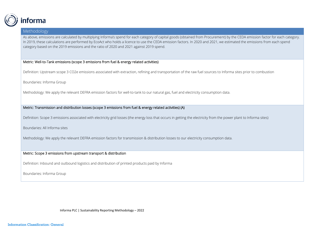

As above, emissions are calculated by multiplying Informa's spend for each category of capital goods (obtained from Procurement) by the CEDA emission factor for each category. In 2019, these calculations are performed by EcoAct who holds a licence to use the CEDA emission factors. In 2020 and 2021, we estimated the emissions from each spend category based on the 2019 emissions and the ratio of 2020 and 2021 against 2019 spend.

#### Metric: Well-to-Tank emissions (scope 3 emissions from fuel & energy related activities)

Definition: Upstream scope 3 CO2e emissions associated with extraction, refining and transportation of the raw fuel sources to Informa sites prior to combustion

Boundaries: Informa Group

Methodology: We apply the relevant DEFRA emission factors for well-to-tank to our natural gas, fuel and electricity consumption data.

Metric: Transmission and distribution losses (scope 3 emissions from fuel & energy related activities) (A)

Definition: Scope 3 emissions associated with electricity grid losses (the energy loss that occurs in getting the electricity from the power plant to Informa sites)

Boundaries: All Informa sites

Methodology: We apply the relevant DEFRA emission factors for transmission & distribution losses to our electricity consumption data.

#### Metric: Scope 3 emissions from upstream transport & distribution

Definition: Inbound and outbound logistics and distribution of printed products paid by Informa

Boundaries: Informa Group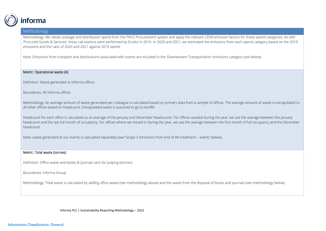

Methodology: We obtain postage and distribution spend from the PACE Procurement system and apply the relevant CEDA emission factors for these spend categories. As with 'Procured Goods & Services', these calculations were performed by EcoAct in 2019. In 2020 and 2021, we estimated the emissions from each spend category based on the 2019 emissions and the ratio of 2020 and 2021 against 2019 spend.

Note: Emissions from transport and distributions associated with events are included in the 'Downstream Transportation' emissions category (see below).

#### Metric: Operational waste (A)

Definition: Waste generated at Informa offices

Boundaries: All Informa offices

Methodology: An average amount of waste generated per colleague is calculated based on primary data from a sample of offices. The average amount of waste is extrapolated to all other offices based on headcount. Extrapolated waste is assumed to go to landfill.

Headcount for each office is calculated as an average of the January and December headcounts. For offices vacated during the year, we use the average between the January headcount and the last full month of occupancy. For offices where we moved in during the year, we use the average between the first month of full occupancy and the December headcount.

Note: waste generated at our events is calculated separately (see 'Scope 3 emissions from end of life treatment – events' below).

#### Metric: Total waste (tonnes)

Definition: Office waste and books & journals sent for pulping (tonnes)

Boundaries: Informa Group

Methodology: Total waste is calculated by adding office waste (see methodology above) and the waste from the disposal of books and journals (see methodology below).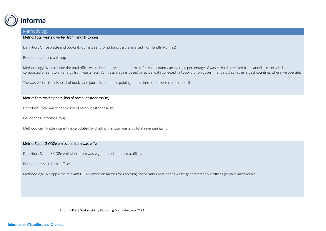

# Metric: Total waste diverted from landfill (tonnes)

Definition: Office waste and books & journals sent for pulping that is diverted from landfill (tonnes)

#### Boundaries: Informa Group

Methodology: We calculate the total office waste by country, then determine for each country an average percentage of waste that is diverted from landfill (i.e. recycled, composted or sent to an energy from waste facility). This average is based on actual data collected in Accuvio or on government studies in the largest countries where we operate.

The waste from the disposal of books and journals is sent for pulping and is therefore diverted from landfill.

# Metric: Total waste per million of revenues (tonnes/£m)

Definition: Total waste per million of revenues (tonnes/£m)

Boundaries: Informa Group

Methodology: Waste intensity is calculated by dividing the total waste by total revenues (£m).

# Metric: Scope 3 CO2e emissions from waste (A)

Definition: Scope 3 CO2e emissions from waste generated at Informa offices

Boundaries: All Informa offices

Methodology: We apply the relevant DEFRA emission factors for recycling, incineration and landfill waste generated at our offices (as calculated above).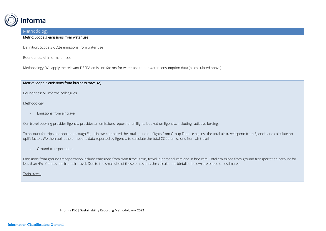

#### Metric: Scope 3 emissions from water use

Definition: Scope 3 CO2e emissions from water use

Boundaries: All Informa offices

Methodology: We apply the relevant DEFRA emission factors for water use to our water consumption data (as calculated above).

# Metric: Scope 3 emissions from business travel (A)

Boundaries: All Informa colleagues

Methodology:

- Emissions from air travel:

Our travel booking provider Egencia provides an emissions report for all flights booked on Egencia, including radiative forcing.

To account for trips not booked through Egencia, we compared the total spend on flights from Group Finance against the total air travel spend from Egencia and calculate an uplift factor. We then uplift the emissions data reported by Egencia to calculate the total CO2e emissions from air travel.

Ground transportation:

Emissions from ground transportation include emissions from train travel, taxis, travel in personal cars and in hire cars. Total emissions from ground transportation account for less than 4% of emissions from air travel. Due to the small size of these emissions, the calculations (detailed below) are based on estimates.

Train travel: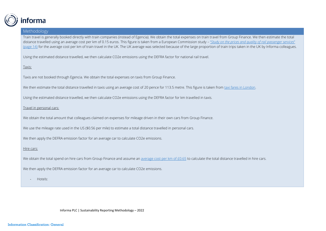

Train travel is generally booked directly with train companies (instead of Egencia). We obtain the total expenses on train travel from Group Finance. We then estimate the total distance travelled using an average cost per km of 0.15 euros. This figure is taken from a European Commission study – "[Study on the prices and quality of rail passenger services](https://ec.europa.eu/transport/sites/transport/files/modes/rail/studies/doc/2016-04-price-quality-rail-pax-services-final-report.pdf)" [\(page 14\)](https://ec.europa.eu/transport/sites/transport/files/modes/rail/studies/doc/2016-04-price-quality-rail-pax-services-final-report.pdf) for the average cost per km of train travel in the UK. The UK average was selected because of the large proportion of train trips taken in the UK by Informa colleagues.

Using the estimated distance travelled, we then calculate CO2e emissions using the DEFRA factor for national rail travel.

Taxis:

Taxis are not booked through Egencia. We obtain the total expenses on taxis from Group Finance.

We then estimate the total distance travelled in taxis using an average cost of 20 pence for 113.5 metre. This figure is taken from [taxi fares in London.](https://tfl.gov.uk/modes/taxis-and-minicabs/taxi-fares/tariffs)

Using the estimated distance travelled, we then calculate CO2e emissions using the DEFRA factor for km travelled in taxis.

Travel in personal cars:

We obtain the total amount that colleagues claimed on expenses for mileage driven in their own cars from Group Finance.

We use the mileage rate used in the US (\$0.56 per mile) to estimate a total distance travelled in personal cars.

We then apply the DEFRA emission factor for an average car to calculate CO2e emissions.

Hire cars:

We obtain the total spend on hire cars from Group Finance and assume an [average cost per km of £0.65](https://www.easycar.com/car-rental-guides/mileage-limits) to calculate the total distance travelled in hire cars.

We then apply the DEFRA emission factor for an average car to calculate CO2e emissions.

- Hotels: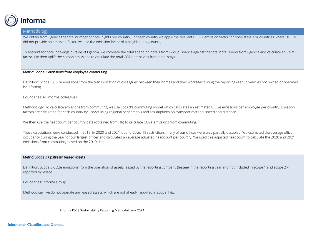

We obtain from Egencia the total number of hotel nights per country. For each country we apply the relevant DEFRA emission factor for hotel stays. For countries where DEFRA did not provide an emission factor, we use the emission factor of a neighbouring country.

To account for hotel bookings outside of Egencia, we compare the total spend on hotels from Group Finance against the total hotel spend from Egencia and calculate an uplift factor. We then uplift the carbon emissions to calculate the total CO2e emissions from hotel stays.

#### Metric: Scope 3 emissions from employee commuting

Definition: Scope 3 CO2e emissions from the transportation of colleagues between their homes and their worksites during the reporting year (in vehicles not owned or operated by Informa)

Boundaries: All Informa colleagues

Methodology: To calculate emissions from commuting, we use EcoAct's commuting model which calculates an estimated tCO2e emissions per employee per country. Emission factors are calculated for each country by EcoAct using regional benchmarks and assumptions on transport method, speed and distance.

We then use the headcount per country data (obtained from HR) to calculate CO2e emissions from commuting.

These calculations were conducted in 2019. In 2020 and 2021, due to Covid-19 restrictions, many of our offices were only partially occupied. We estimated the average office occupancy during the year for our largest offices and calculated an average adjusted headcount per country. We used this adjusted headcount to calculate the 2020 and 2021 emissions from commuting, based on the 2019 data.

#### Metric: Scope 3 upstream leased assets

Definition: Scope 3 CO2e emissions from the operation of assets leased by the reporting company (lessee) in the reporting year and not included in scope 1 and scope 2 reported by lessee

Boundaries: Informa Group

Methodology: we do not operate any leased assets, which are not already reported in scope 1 &2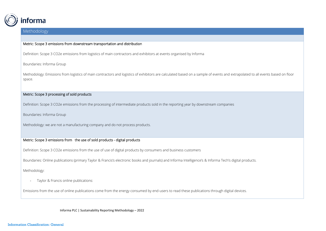

#### Metric: Scope 3 emissions from downstream transportation and distribution

Definition: Scope 3 CO2e emissions from logistics of main contractors and exhibitors at events organised by Informa

#### Boundaries: Informa Group

Methodology: Emissions from logistics of main contractors and logistics of exhibitors are calculated based on a sample of events and extrapolated to all events based on floor space.

# Metric: Scope 3 processing of sold products

Definition: Scope 3 CO2e emissions from the processing of intermediate products sold in the reporting year by downstream companies

Boundaries: Informa Group

Methodology: we are not a manufacturing company and do not process products.

# Metric: Scope 3 emissions from the use of sold products - digital products

Definition: Scope 3 CO2e emissions from the use of use of digital products by consumers and business customers

Boundaries: Online publications (primary Taylor & Francis's electronic books and journals) and Informa Intelligence's & Informa Tech's digital products.

Methodology:

- Taylor & Francis online publications:

Emissions from the use of online publications come from the energy consumed by end-users to read these publications through digital devices.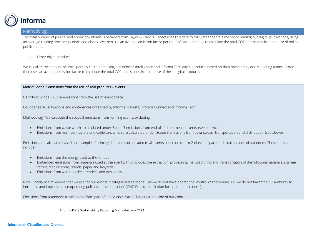

The total number of journal and ebook downloads is obtained from Taylor & Francis. EcoAct uses this data to calculate the total time spent reading our digital publications, using an average reading time per journals and ebook. We then use an average emission factor per hour of online reading to calculate the total CO2e emissions from the use of online publications.

- Other digital products

We calculate the amount of time spent by customers using our Informa Intelligence and Informa Tech digital products based on data provided by our Marketing teams. EcoAct then uses an average emission factor to calculate the total CO2e emissions from the use of these digital products.

#### Metric: Scope 3 emissions from the use of sold products – events

Definition: Scope 3 CO2e emissions from the use of event space

Boundaries: All exhibitions and conferences organised by Informa Markets, Informa Connect and Informa Tech.

Methodology: We calculate the scope 3 emissions from running events, excluding:

- Emissions from waste which is calculated under 'Scope 3 emissions from end of life treatment events' (see below); and
- Emissions from main contractors and exhibitors which are calculated under 'Scope 3 emissions from downstream transportation and distribution' (see above).

Emissions are calculated based on a sample of primary data and extrapolated to all events based on total m2 of event space and total number of attendees. These emissions include:

- Emissions from the energy used at the venues
- Embedded emissions from materials used at the events. This includes the extraction, processing, manufacturing and transportation of the following materials: signage, carpet, feature areas, stands, paper and lanyards.
- Emissions from water use by attendees and exhibitors

Note: Energy use at venues that we use for our events is categorised as scope 3 as we do not have operational control of the venues: i.e. we do not have "the full authority to introduce and implement our operating policies at the operation" (GHG Protocol definition for operational control).

Emissions from attendees' travel do not form part of our Science-Based Targets as outside of our control.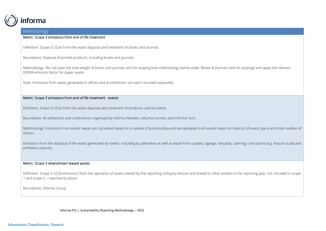

#### Metric: Scope 3 emissions from end of life treatment

Definition: Scope 3 CO2e from the waste disposal and treatment of books and journals

Boundaries: Disposal of printed products, including books and journals.

Methodology: We calculate the total weight of books and journals sent for pulping (see methodology below under 'Books & journals sent for pulping') and apply the relevant DEFRA emission factor for paper waste.

Note: Emissions from waste generated in offices and at exhibitions are each recorded separately.

#### Metric: Scope 3 emissions from end of life treatment - events

Definition: Scope 3 CO2e from the waste disposal and treatment of products used at events

Boundaries: All exhibitions and conferences organised by Informa Markets, Informa Connect and Informa Tech.

Methodology: Emissions from events' waste are calculated based on a sample of primary data and extrapolated to all events based on total m2 of event space and total number of visitors.

Emissions from the disposal of the waste generated by events, including by attendees as well as waste from carpets, signage, lanyards, catering, contractors (e.g. feature build) and exhibitors (stands).

#### Metric: Scope 3 downstream leased assets

Definition: Scope 3 CO2e emissions from the operation of assets owned by the reporting company (lessor) and leased to other entities in the reporting year, not included in scope 1 and scope 2 – reported by lessor

Boundaries: Informa Group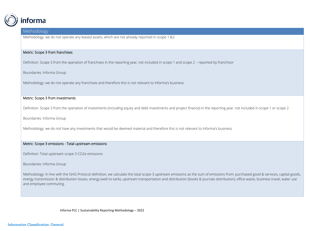

Methodology: we do not operate any leased assets, which are not already reported in scope 1 &2

#### Metric: Scope 3 from franchises

Definition: Scope 3 from the operation of franchises in the reporting year, not included in scope 1 and scope 2 – reported by franchisor

Boundaries: Informa Group

Methodology: we do not operate any franchises and therefore this is not relevant to Informa's business

## Metric: Scope 3 from investments

Definition: Scope 3 from the operation of investments (including equity and debt investments and project finance) in the reporting year, not included in scope 1 or scope 2

Boundaries: Informa Group

Methodology: we do not have any investments that would be deemed material and therefore this is not relevant to Informa's business

#### Metric: Scope 3 emissions - Total upstream emissions

Definition: Total upstream scope 3 CO2e emissions

Boundaries: Informa Group

Methodology: In line with the GHG Protocol definition, we calculate the total scope 3 upstream emissions as the sum of emissions from: purchased good & services, capital goods, energy transmission & distribution losses, energy (well-to-tank), upstream transportation and distribution (books & journals distribution), office waste, business travel, water use and employee commuting.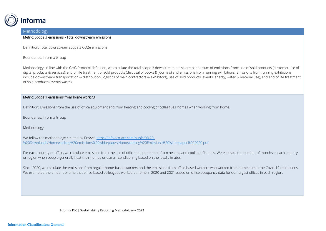

#### Metric: Scope 3 emissions - Total downstream emissions

Definition: Total downstream scope 3 CO2e emissions

Boundaries: Informa Group

Methodology: In line with the GHG Protocol definition, we calculate the total scope 3 downstream emissions as the sum of emissions from: use of sold products (customer use of digital products & services), end of life treatment of sold products (disposal of books & journals) and emissions from running exhibitions. Emissions from running exhibitions include downstream transportation & distribution (logistics of main contractors & exhibitors), use of sold products (events' energy, water & material use), and end of life treatment of sold products (events waste).

# Metric: Scope 3 emissions from home working

Definition: Emissions from the use of office equipment and from heating and cooling of colleagues' homes when working from home.

Boundaries: Informa Group

Methodology:

We follow the methodology created by EcoAct: [https://info.eco-act.com/hubfs/0%20-](https://info.eco-act.com/hubfs/0%20-%20Downloads/Homeworking%20emissions%20whitepaper/Homeworking%20Emissions%20Whitepaper%202020.pdf) [%20Downloads/Homeworking%20emissions%20whitepaper/Homeworking%20Emissions%20Whitepaper%202020.pdf](https://info.eco-act.com/hubfs/0%20-%20Downloads/Homeworking%20emissions%20whitepaper/Homeworking%20Emissions%20Whitepaper%202020.pdf)

For each country or office, we calculate emissions from the use of office equipment and from heating and cooling of homes. We estimate the number of months in each country or region when people generally heat their homes or use air-conditioning based on the local climates.

Since 2020, we calculate the emissions from regular home-based workers and the emissions from office-based workers who worked from home due to the Covid-19 restrictions. We estimated the amount of time that office-based colleagues worked at home in 2020 and 2021 based on office occupancy data for our largest offices in each region.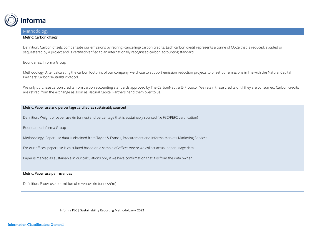

#### Metric: Carbon offsets

Definition: Carbon offsets compensate our emissions by retiring (cancelling) carbon credits. Each carbon credit represents a tonne of CO2e that is reduced, avoided or sequestered by a project and is certified/verified to an internationally recognised carbon accounting standard.

#### Boundaries: Informa Group

Methodology: After calculating the carbon footprint of our company, we chose to support emission reduction projects to offset our emissions in line with the Natural Capital Partners' CarbonNeutral® Protocol.

We only purchase carbon credits from carbon accounting standards approved by The CarbonNeutral® Protocol. We retain these credits until they are consumed. Carbon credits are retired from the exchange as soon as Natural Capital Partners hand them over to us.

# Metric: Paper use and percentage certified as sustainably sourced

Definition: Weight of paper use (in tonnes) and percentage that is sustainably sourced (i.e FSC/PEFC certification)

Boundaries: Informa Group

Methodology: Paper use data is obtained from Taylor & Francis, Procurement and Informa Markets Marketing Services.

For our offices, paper use is calculated based on a sample of offices where we collect actual paper usage data.

Paper is marked as sustainable in our calculations only if we have confirmation that it is from the data owner.

#### Metric: Paper use per revenues

Definition: Paper use per million of revenues (in tonnes/£m)